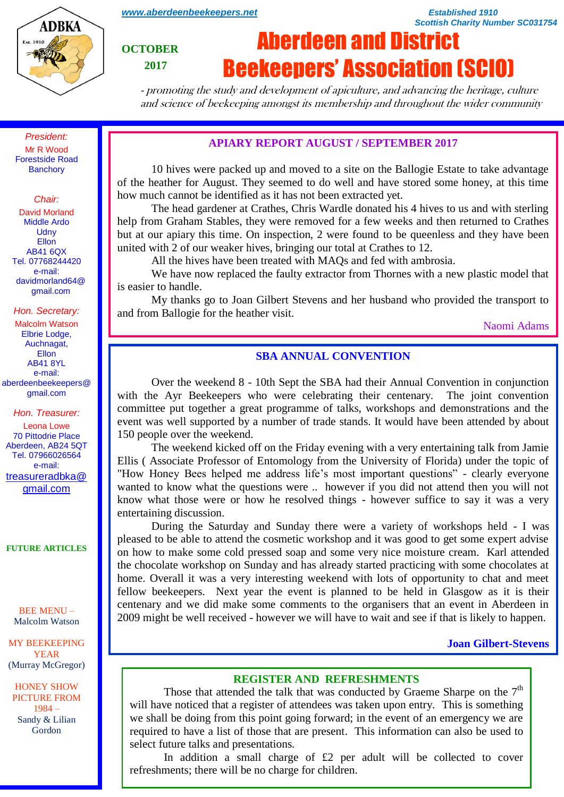

*[www.aberdeenbeekeepers.net](http://www.aberdeenbeekeepers.net/) Established 1910* 

**OCTOBER**

 **2017**

# Aberdeen and District Beekeepers' Association (SCIO)

- promoting the study and development of apiculture, and advancing the heritage, culture and science of beekeeping amongst its membership and throughout the wider community

*President:* Mr R Wood Forestside Road **Banchory** 

*Chair:*

David Morland Middle Ardo **Udny** Ellon AB41 6QX Tel. 07768244420 e-mail: davidmorland64@ gmail.com

*Hon. Secretary:*

Malcolm Watson Elbrie Lodge, Auchnagat, Ellon AB41 8YL e-mail: aberdeenbeekeepers@ gmail.com

*Hon. Treasurer:*

Leona Lowe 70 Pittodrie Place Aberdeen, AB24 5QT Tel. 07966026564 e-mail: [treasureradbka@](https://e.mail.ru/compose/?mailto=mailto%3atreasureradbka@gmail.com) [gmail.com](https://e.mail.ru/compose/?mailto=mailto%3atreasureradbka@gmail.com)

**FUTURE ARTICLES**

BEE MENU – Malcolm Watson

MY BEEKEEPING YEAR (Murray McGregor)

HONEY SHOW PICTURE FROM 1984 – Sandy & Lilian Gordon

#### **APIARY REPORT AUGUST / SEPTEMBER 2017**

10 hives were packed up and moved to a site on the Ballogie Estate to take advantage of the heather for August. They seemed to do well and have stored some honey, at this time how much cannot be identified as it has not been extracted yet.

The head gardener at Crathes, Chris Wardle donated his 4 hives to us and with sterling help from Graham Stables, they were removed for a few weeks and then returned to Crathes but at our apiary this time. On inspection, 2 were found to be queenless and they have been united with 2 of our weaker hives, bringing our total at Crathes to 12.

All the hives have been treated with MAQs and fed with ambrosia.

We have now replaced the faulty extractor from Thornes with a new plastic model that is easier to handle.

My thanks go to Joan Gilbert Stevens and her husband who provided the transport to and from Ballogie for the heather visit.

Naomi Adams

*Scottish Charity Number SC031754*

## **SBA ANNUAL CONVENTION**

Over the weekend 8 - 10th Sept the SBA had their Annual Convention in conjunction with the Ayr Beekeepers who were celebrating their centenary. The joint convention committee put together a great programme of talks, workshops and demonstrations and the event was well supported by a number of trade stands. It would have been attended by about 150 people over the weekend.

The weekend kicked off on the Friday evening with a very entertaining talk from Jamie Ellis ( Associate Professor of Entomology from the University of Florida) under the topic of "How Honey Bees helped me address life's most important questions" - clearly everyone wanted to know what the questions were .. however if you did not attend then you will not know what those were or how he resolved things - however suffice to say it was a very entertaining discussion.

During the Saturday and Sunday there were a variety of workshops held - I was pleased to be able to attend the cosmetic workshop and it was good to get some expert advise on how to make some cold pressed soap and some very nice moisture cream. Karl attended the chocolate workshop on Sunday and has already started practicing with some chocolates at home. Overall it was a very interesting weekend with lots of opportunity to chat and meet fellow beekeepers. Next year the event is planned to be held in Glasgow as it is their centenary and we did make some comments to the organisers that an event in Aberdeen in 2009 might be well received - however we will have to wait and see if that is likely to happen.

#### **Joan Gilbert-Stevens**

#### **REGISTER AND REFRESHMENTS**

Those that attended the talk that was conducted by Graeme Sharpe on the  $7<sup>th</sup>$ will have noticed that a register of attendees was taken upon entry. This is something we shall be doing from this point going forward; in the event of an emergency we are required to have a list of those that are present. This information can also be used to select future talks and presentations.

In addition a small charge of  $£2$  per adult will be collected to cover refreshments; there will be no charge for children.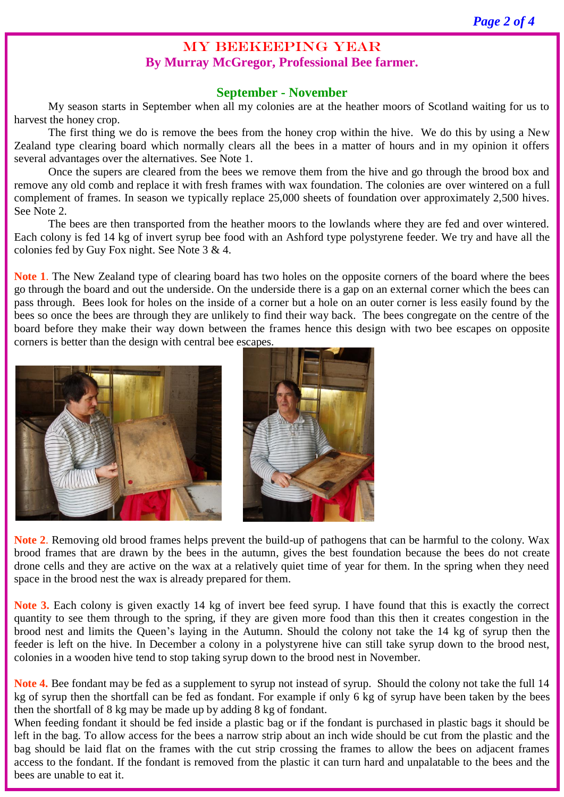## MY BEEKEEPING YEAR **By Murray McGregor, Professional Bee farmer.**

## **September - November**

My season starts in September when all my colonies are at the heather moors of Scotland waiting for us to harvest the honey crop.

The first thing we do is remove the bees from the honey crop within the hive. We do this by using a New Zealand type clearing board which normally clears all the bees in a matter of hours and in my opinion it offers several advantages over the alternatives. See Note 1.

Once the supers are cleared from the bees we remove them from the hive and go through the brood box and remove any old comb and replace it with fresh frames with wax foundation. The colonies are over wintered on a full complement of frames. In season we typically replace 25,000 sheets of foundation over approximately 2,500 hives. See Note 2.

The bees are then transported from the heather moors to the lowlands where they are fed and over wintered. Each colony is fed 14 kg of invert syrup bee food with an Ashford type polystyrene feeder. We try and have all the colonies fed by Guy Fox night. See Note 3 & 4.

**Note 1**. The New Zealand type of clearing board has two holes on the opposite corners of the board where the bees go through the board and out the underside. On the underside there is a gap on an external corner which the bees can pass through. Bees look for holes on the inside of a corner but a hole on an outer corner is less easily found by the bees so once the bees are through they are unlikely to find their way back. The bees congregate on the centre of the board before they make their way down between the frames hence this design with two bee escapes on opposite corners is better than the design with central bee escapes.





**Note 2**. Removing old brood frames helps prevent the build-up of pathogens that can be harmful to the colony. Wax brood frames that are drawn by the bees in the autumn, gives the best foundation because the bees do not create drone cells and they are active on the wax at a relatively quiet time of year for them. In the spring when they need space in the brood nest the wax is already prepared for them.

**Note 3.** Each colony is given exactly 14 kg of invert bee feed syrup. I have found that this is exactly the correct quantity to see them through to the spring, if they are given more food than this then it creates congestion in the brood nest and limits the Queen's laying in the Autumn. Should the colony not take the 14 kg of syrup then the feeder is left on the hive. In December a colony in a polystyrene hive can still take syrup down to the brood nest, colonies in a wooden hive tend to stop taking syrup down to the brood nest in November.

**Note 4.** Bee fondant may be fed as a supplement to syrup not instead of syrup. Should the colony not take the full 14 kg of syrup then the shortfall can be fed as fondant. For example if only 6 kg of syrup have been taken by the bees then the shortfall of 8 kg may be made up by adding 8 kg of fondant.

When feeding fondant it should be fed inside a plastic bag or if the fondant is purchased in plastic bags it should be left in the bag. To allow access for the bees a narrow strip about an inch wide should be cut from the plastic and the bag should be laid flat on the frames with the cut strip crossing the frames to allow the bees on adjacent frames access to the fondant. If the fondant is removed from the plastic it can turn hard and unpalatable to the bees and the bees are unable to eat it.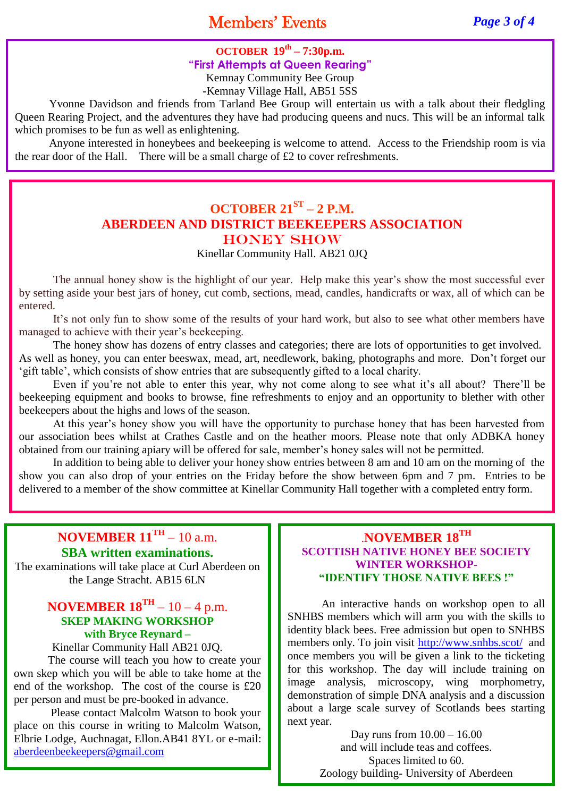## Members' Events *Page 3 of 4*

## **OCTOBER 19th – 7:30p.m. "First Attempts at Queen Rearing"**

Kemnay Community Bee Group

-Kemnay Village Hall, AB51 5SS

Yvonne Davidson and friends from Tarland Bee Group will entertain us with a talk about their fledgling Queen Rearing Project, and the adventures they have had producing queens and nucs. This will be an informal talk which promises to be fun as well as enlightening.

Anyone interested in honeybees and beekeeping is welcome to attend. Access to the Friendship room is via the rear door of the Hall. There will be a small charge of  $\pounds 2$  to cover refreshments.

## **OCTOBER 21ST – 2 P.M. ABERDEEN AND DISTRICT BEEKEEPERS ASSOCIATION** HONEY SHOW

Kinellar Community Hall. AB21 0JQ

The annual honey show is the highlight of our year. Help make this year's show the most successful ever by setting aside your best jars of honey, cut comb, sections, mead, candles, handicrafts or wax, all of which can be entered.

It's not only fun to show some of the results of your hard work, but also to see what other members have managed to achieve with their year's beekeeping.

The honey show has dozens of entry classes and categories; there are lots of opportunities to get involved. As well as honey, you can enter beeswax, mead, art, needlework, baking, photographs and more. Don't forget our 'gift table', which consists of show entries that are subsequently gifted to a local charity.

Even if you're not able to enter this year, why not come along to see what it's all about? There'll be beekeeping equipment and books to browse, fine refreshments to enjoy and an opportunity to blether with other beekeepers about the highs and lows of the season.

At this year's honey show you will have the opportunity to purchase honey that has been harvested from our association bees whilst at Crathes Castle and on the heather moors. Please note that only ADBKA honey obtained from our training apiary will be offered for sale, member's honey sales will not be permitted.

In addition to being able to deliver your honey show entries between 8 am and 10 am on the morning of the show you can also drop of your entries on the Friday before the show between 6pm and 7 pm. Entries to be delivered to a member of the show committee at Kinellar Community Hall together with a completed entry form.

## **NOVEMBER 11TH** – 10 a.m. **SBA written examinations.**

The examinations will take place at Curl Aberdeen on the Lange Stracht. AB15 6LN

## **NOVEMBER 18TH** – 10 – 4 p.m. **SKEP MAKING WORKSHOP with Bryce Reynard –**

Kinellar Community Hall AB21 0JQ. The course will teach you how to create your

own skep which you will be able to take home at the end of the workshop. The cost of the course is £20 per person and must be pre-booked in advance.

Please contact Malcolm Watson to book your place on this course in writing to Malcolm Watson, Elbrie Lodge, Auchnagat, Ellon.AB41 8YL or e-mail: [aberdeenbeekeepers@gmail.com](mailto:aberdeenbeekeepers@gmail.com)

## .**NOVEMBER 18TH SCOTTISH NATIVE HONEY BEE SOCIETY WINTER WORKSHOP- "IDENTIFY THOSE NATIVE BEES !"**

An interactive hands on workshop open to all SNHBS members which will arm you with the skills to identity black bees. Free admission but open to SNHBS members only. To join visit<http://www.snhbs.scot/> and once members you will be given a link to the ticketing for this workshop. The day will include training on image analysis, microscopy, wing morphometry, demonstration of simple DNA analysis and a discussion about a large scale survey of Scotlands bees starting next year.

> Day runs from 10.00 – 16.00 and will include teas and coffees. Spaces limited to 60. Zoology building- University of Aberdeen